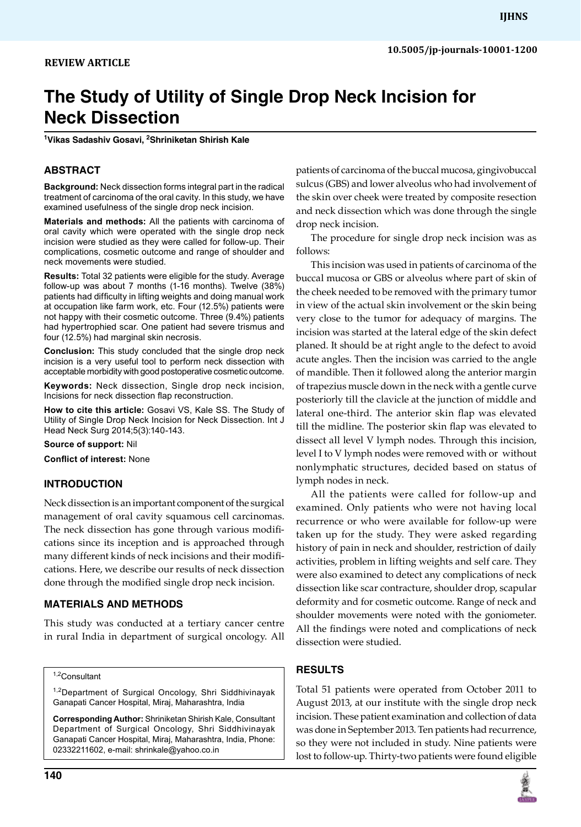# **The Study of Utility of Single Drop Neck Incision for Neck Dissection**

**1 Vikas Sadashiv Gosavi, 2 Shriniketan Shirish Kale**

# **ABSTRACT**

**Background:** Neck dissection forms integral part in the radical treatment of carcinoma of the oral cavity. In this study, we have examined usefulness of the single drop neck incision.

**Materials and methods:** All the patients with carcinoma of oral cavity which were operated with the single drop neck incision were studied as they were called for follow-up. Their complications, cosmetic outcome and range of shoulder and neck movements were studied.

**Results:** Total 32 patients were eligible for the study. Average follow-up was about 7 months (1-16 months). Twelve (38%) patients had difficulty in lifting weights and doing manual work at occupation like farm work, etc. Four (12.5%) patients were not happy with their cosmetic outcome. Three (9.4%) patients had hypertrophied scar. One patient had severe trismus and four (12.5%) had marginal skin necrosis.

**Conclusion:** This study concluded that the single drop neck incision is a very useful tool to perform neck dissection with acceptable morbidity with good postoperative cosmetic outcome.

**Keywords:** Neck dissection, Single drop neck incision, incisions for neck dissection flap reconstruction.

**How to cite this article:** Gosavi VS, Kale SS. The Study of Utility of Single Drop Neck Incision for Neck Dissection. Int J Head Neck Surg 2014;5(3):140-143.

**Source of support:** Nil

**Conflict of interest:** None

### **Introduction**

Neck dissection is an important component of the surgical management of oral cavity squamous cell carcinomas. The neck dissection has gone through various modifications since its inception and is approached through many different kinds of neck incisions and their modifications. Here, we describe our results of neck dissection done through the modified single drop neck incision.

### **Materials and methods**

This study was conducted at a tertiary cancer centre in rural India in department of surgical oncology. All

#### 1,2Consultant

1,2Department of Surgical Oncology, Shri Siddhivinayak Ganapati Cancer Hospital, Miraj, Maharashtra, India

**Corresponding Author:** Shriniketan Shirish Kale, Consultant Department of Surgical Oncology, Shri Siddhivinayak Ganapati Cancer Hospital, Miraj, Maharashtra, India, Phone: 02332211602, e-mail: shrinkale@yahoo.co.in

patients of carcinoma of the buccal mucosa, gingivobuccal sulcus (GBS) and lower alveolus who had involvement of the skin over cheek were treated by composite resection and neck dissection which was done through the single drop neck incision.

The procedure for single drop neck incision was as follows:

This incision was used in patients of carcinoma of the buccal mucosa or GBS or alveolus where part of skin of the cheek needed to be removed with the primary tumor in view of the actual skin involvement or the skin being very close to the tumor for adequacy of margins. The incision was started at the lateral edge of the skin defect planed. It should be at right angle to the defect to avoid acute angles. Then the incision was carried to the angle of mandible. Then it followed along the anterior margin of trapezius muscle down in the neck with a gentle curve posteriorly till the clavicle at the junction of middle and lateral one-third. The anterior skin flap was elevated till the midline. The posterior skin flap was elevated to dissect all level V lymph nodes. Through this incision, level I to V lymph nodes were removed with or without nonlymphatic structures, decided based on status of lymph nodes in neck.

All the patients were called for follow-up and examined. Only patients who were not having local recurrence or who were available for follow-up were taken up for the study. They were asked regarding history of pain in neck and shoulder, restriction of daily activities, problem in lifting weights and self care. They were also examined to detect any complications of neck dissection like scar contracture, shoulder drop, scapular deformity and for cosmetic outcome. Range of neck and shoulder movements were noted with the goniometer. All the findings were noted and complications of neck dissection were studied.

# **Results**

Total 51 patients were operated from October 2011 to August 2013, at our institute with the single drop neck incision. These patient examination and collection of data was done in September 2013. Ten patients had recurrence, so they were not included in study. Nine patients were lost to follow-up. Thirty-two patients were found eligible

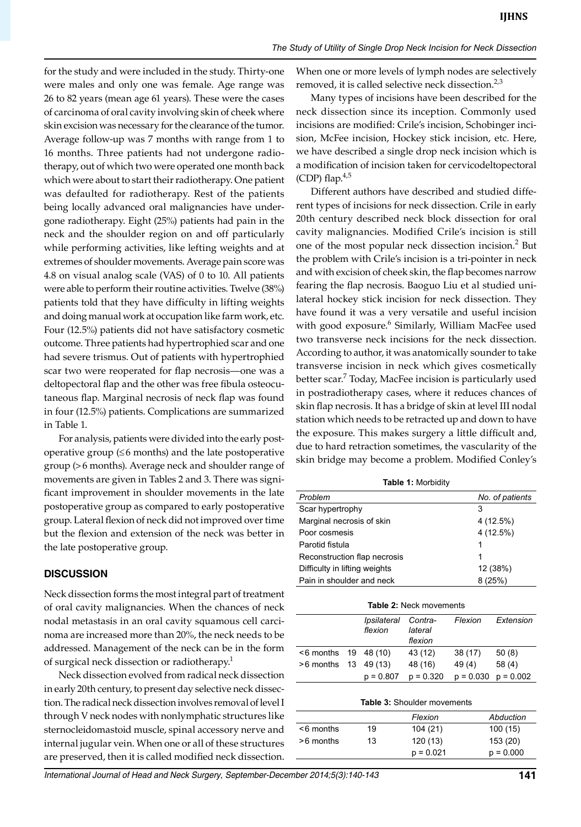for the study and were included in the study. Thirty-one were males and only one was female. Age range was 26 to 82 years (mean age 61 years). These were the cases of carcinoma of oral cavity involving skin of cheek where skin excision was necessary for the clearance of the tumor. Average follow-up was 7 months with range from 1 to 16 months. Three patients had not undergone radiotherapy, out of which two were operated one month back which were about to start their radiotherapy. One patient was defaulted for radiotherapy. Rest of the patients being locally advanced oral malignancies have undergone radiotherapy. Eight (25%) patients had pain in the neck and the shoulder region on and off particularly while performing activities, like lefting weights and at extremes of shoulder movements. Average pain score was 4.8 on visual analog scale (VAS) of 0 to 10. All patients were able to perform their routine activities. Twelve (38%) patients told that they have difficulty in lifting weights and doing manual work at occupation like farm work, etc. Four (12.5%) patients did not have satisfactory cosmetic outcome. Three patients had hypertrophied scar and one had severe trismus. Out of patients with hypertrophied scar two were reoperated for flap necrosis—one was a deltopectoral flap and the other was free fibula osteocutaneous flap. Marginal necrosis of neck flap was found in four (12.5%) patients. Complications are summarized in Table 1.

For analysis, patients were divided into the early postoperative group (≤6 months) and the late postoperative group (>6 months). Average neck and shoulder range of movements are given in Tables 2 and 3. There was significant improvement in shoulder movements in the late postoperative group as compared to early postoperative group. Lateral flexion of neck did not improved over time but the flexion and extension of the neck was better in the late postoperative group.

#### **Discussion**

Neck dissection forms the most integral part of treatment of oral cavity malignancies. When the chances of neck nodal metastasis in an oral cavity squamous cell carcinoma are increased more than 20%, the neck needs to be addressed. Management of the neck can be in the form of surgical neck dissection or radiotherapy.1

Neck dissection evolved from radical neck dissection in early 20th century, to present day selective neck dissection. The radical neck dissection involves removal of level I through V neck nodes with nonlymphatic structures like sternocleidomastoid muscle, spinal accessory nerve and internal jugular vein. When one or all of these structures are preserved, then it is called modified neck dissection.

Reconstruction flap necrosis

Parotid fistula 1

| <b>Table 2: Neck movements</b> |  |                                      |                               |             |             |
|--------------------------------|--|--------------------------------------|-------------------------------|-------------|-------------|
|                                |  | <i><b>Ipsilateral</b></i><br>flexion | Contra-<br>lateral<br>flexion | Flexion     | Extension   |
| $<$ 6 months 19 48 (10)        |  |                                      | 43 (12)                       | 38 (17)     | 50(8)       |
| $>6$ months 13 49 (13)         |  |                                      | 48 (16)                       | 49 (4)      | 58(4)       |
|                                |  | $p = 0.807$                          | $p = 0.320$                   | $p = 0.030$ | $p = 0.002$ |

#### **Table 3:** Shoulder movements

|              |    | Flexion     | Abduction   |
|--------------|----|-------------|-------------|
| $<$ 6 months | 19 | 104(21)     | 100 (15)    |
| >6 months    | 13 | 120(13)     | 153 (20)    |
|              |    | $p = 0.021$ | $p = 0.000$ |

*International Journal of Head and Neck Surgery, September-December 2014;5(3):140-143* **141**

Many types of incisions have been described for the neck dissection since its inception. Commonly used incisions are modified: Crile's incision, Schobinger incision, McFee incision, Hockey stick incision, etc. Here, we have described a single drop neck incision which is a modification of incision taken for cervicodeltopectoral (CDP) flap. $4,5$ 

Different authors have described and studied different types of incisions for neck dissection. Crile in early 20th century described neck block dissection for oral cavity malignancies. Modified Crile's incision is still one of the most popular neck dissection incision.<sup>2</sup> But the problem with Crile's incision is a tri-pointer in neck and with excision of cheek skin, the flap becomes narrow fearing the flap necrosis. Baoguo Liu et al studied unilateral hockey stick incision for neck dissection. They have found it was a very versatile and useful incision with good exposure.<sup>6</sup> Similarly, William MacFee used two transverse neck incisions for the neck dissection. According to author, it was anatomically sounder to take transverse incision in neck which gives cosmetically better scar.<sup>7</sup> Today, MacFee incision is particularly used in postradiotherapy cases, where it reduces chances of skin flap necrosis. It has a bridge of skin at level III nodal station which needs to be retracted up and down to have the exposure. This makes surgery a little difficult and, due to hard retraction sometimes, the vascularity of the skin bridge may become a problem. Modified Conley's

**Table 1:** Morbidity *Problem No. of patients*

Scar hypertrophy 3

Marginal necrosis of skin 4 (12.5%) Poor cosmesis 4 (12.5%)

Difficulty in lifting weights 12 (38%) Pain in shoulder and neck 8 (25%)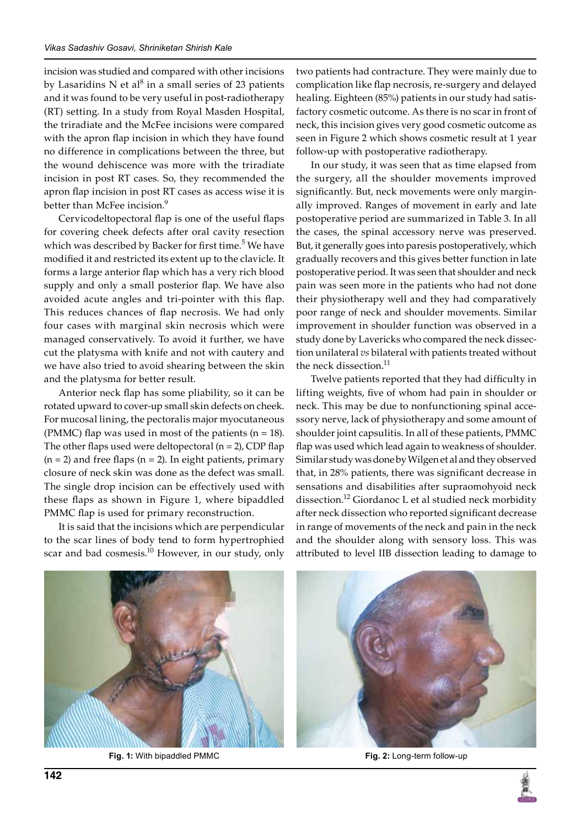incision was studied and compared with other incisions by Lasaridins N et al $^8$  in a small series of 23 patients and it was found to be very useful in post-radiotherapy (RT) setting. In a study from Royal Masden Hospital, the triradiate and the McFee incisions were compared with the apron flap incision in which they have found no difference in complications between the three, but the wound dehiscence was more with the triradiate incision in post RT cases. So, they recommended the apron flap incision in post RT cases as access wise it is better than McFee incision.<sup>9</sup>

Cervicodeltopectoral flap is one of the useful flaps for covering cheek defects after oral cavity resection which was described by Backer for first time.<sup>5</sup> We have modified it and restricted its extent up to the clavicle. It forms a large anterior flap which has a very rich blood supply and only a small posterior flap. We have also avoided acute angles and tri-pointer with this flap. This reduces chances of flap necrosis. We had only four cases with marginal skin necrosis which were managed conservatively. To avoid it further, we have cut the platysma with knife and not with cautery and we have also tried to avoid shearing between the skin and the platysma for better result.

Anterior neck flap has some pliability, so it can be rotated upward to cover-up small skin defects on cheek. For mucosal lining, the pectoralis major myocutaneous (PMMC) flap was used in most of the patients ( $n = 18$ ). The other flaps used were deltopectoral  $(n = 2)$ , CDP flap  $(n = 2)$  and free flaps  $(n = 2)$ . In eight patients, primary closure of neck skin was done as the defect was small. The single drop incision can be effectively used with these flaps as shown in Figure 1, where bipaddled PMMC flap is used for primary reconstruction.

It is said that the incisions which are perpendicular to the scar lines of body tend to form hypertrophied scar and bad cosmesis. $10$  However, in our study, only

two patients had contracture. They were mainly due to complication like flap necrosis, re-surgery and delayed healing. Eighteen (85%) patients in our study had satisfactory cosmetic outcome. As there is no scar in front of neck, this incision gives very good cosmetic outcome as seen in figure 2 which shows cosmetic result at 1 year follow-up with postoperative radiotherapy.

In our study, it was seen that as time elapsed from the surgery, all the shoulder movements improved significantly. But, neck movements were only marginally improved. Ranges of movement in early and late postoperative period are summarized in Table 3. In all the cases, the spinal accessory nerve was preserved. But, it generally goes into paresis postoperatively, which gradually recovers and this gives better function in late postoperative period. It was seen that shoulder and neck pain was seen more in the patients who had not done their physiotherapy well and they had comparatively poor range of neck and shoulder movements. Similar improvement in shoulder function was observed in a study done by Lavericks who compared the neck dissection unilateral *vs* bilateral with patients treated without the neck dissection.<sup>11</sup>

Twelve patients reported that they had difficulty in lifting weights, five of whom had pain in shoulder or neck. This may be due to nonfunctioning spinal accessory nerve, lack of physiotherapy and some amount of shoulder joint capsulitis. In all of these patients, PMMC flap was used which lead again to weakness of shoulder. Similar study was done by Wilgen et al and they observed that, in 28% patients, there was significant decrease in sensations and disabilities after supraomohyoid neck dissection.<sup>12</sup> Giordanoc L et al studied neck morbidity after neck dissection who reported significant decrease in range of movements of the neck and pain in the neck and the shoulder along with sensory loss. This was attributed to level IIB dissection leading to damage to



**Fig. 1:** With bipaddled PMMC **Fig. 2:** Long-term follow-up